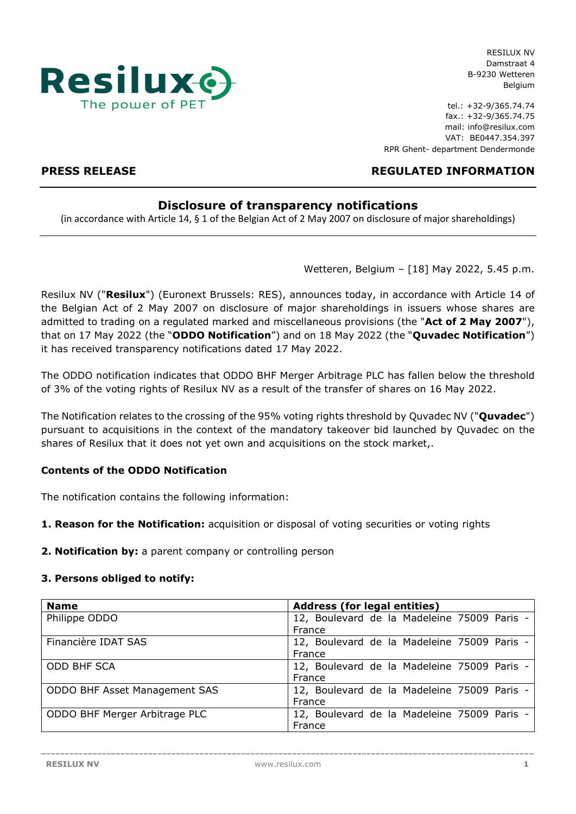

tel.: +32-9/365.74.74 fax.: +32-9/365.74.75 mail: info@resilux.com VAT: BE0447.354.397 RPR Ghent- department Dendermonde

# PRESS RELEASE REGULATED INFORMATION

# Disclosure of transparency notifications

(in accordance with Article 14, § 1 of the Belgian Act of 2 May 2007 on disclosure of major shareholdings)

Wetteren, Belgium – [18] May 2022, 5.45 p.m.

Resilux NV ("Resilux") (Euronext Brussels: RES), announces today, in accordance with Article 14 of the Belgian Act of 2 May 2007 on disclosure of major shareholdings in issuers whose shares are admitted to trading on a regulated marked and miscellaneous provisions (the "Act of 2 May 2007"), that on 17 May 2022 (the "ODDO Notification") and on 18 May 2022 (the "Quvadec Notification") it has received transparency notifications dated 17 May 2022.

The ODDO notification indicates that ODDO BHF Merger Arbitrage PLC has fallen below the threshold of 3% of the voting rights of Resilux NV as a result of the transfer of shares on 16 May 2022.

The Notification relates to the crossing of the 95% voting rights threshold by Quvadec NV ("Quvadec") pursuant to acquisitions in the context of the mandatory takeover bid launched by Quvadec on the shares of Resilux that it does not yet own and acquisitions on the stock market,.

# Contents of the ODDO Notification

The notification contains the following information:

1. Reason for the Notification: acquisition or disposal of voting securities or voting rights

2. Notification by: a parent company or controlling person

#### 3. Persons obliged to notify:

| <b>Name</b>                   | <b>Address (for legal entities)</b>         |  |  |  |
|-------------------------------|---------------------------------------------|--|--|--|
| Philippe ODDO                 | 12, Boulevard de la Madeleine 75009 Paris - |  |  |  |
|                               | France                                      |  |  |  |
| Financière IDAT SAS           | 12, Boulevard de la Madeleine 75009 Paris - |  |  |  |
|                               | France                                      |  |  |  |
| <b>ODD BHF SCA</b>            | 12, Boulevard de la Madeleine 75009 Paris - |  |  |  |
|                               | France                                      |  |  |  |
| ODDO BHF Asset Management SAS | 12, Boulevard de la Madeleine 75009 Paris - |  |  |  |
|                               | France                                      |  |  |  |
| ODDO BHF Merger Arbitrage PLC | 12, Boulevard de la Madeleine 75009 Paris - |  |  |  |
|                               | France                                      |  |  |  |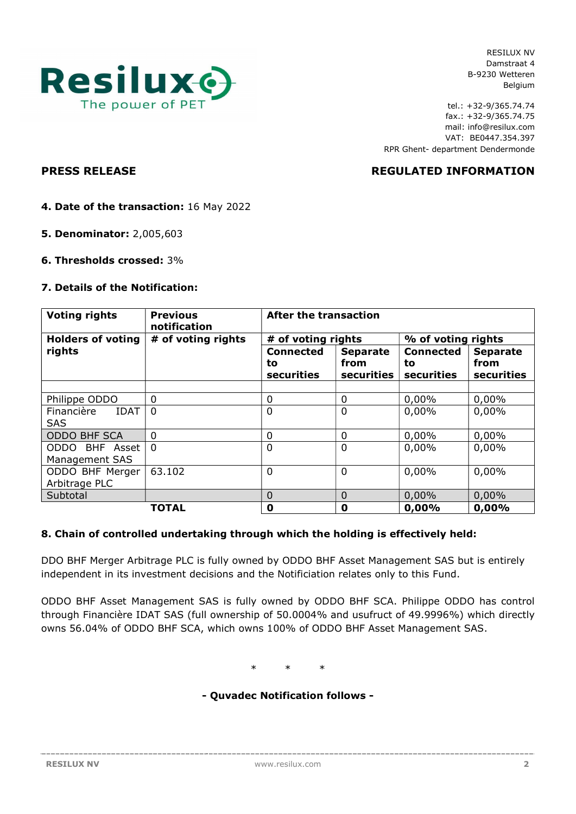

tel.: +32-9/365.74.74 fax.: +32-9/365.74.75 mail: info@resilux.com VAT: BE0447.354.397 RPR Ghent- department Dendermonde

PRESS RELEASE REGULATED INFORMATION

- 4. Date of the transaction: 16 May 2022
- 5. Denominator: 2,005,603
- 6. Thresholds crossed: 3%

#### 7. Details of the Notification:

| <b>Voting rights</b>                    | <b>Previous</b><br>notification | <b>After the transaction</b>         |                                       |                                      |                                       |
|-----------------------------------------|---------------------------------|--------------------------------------|---------------------------------------|--------------------------------------|---------------------------------------|
| <b>Holders of voting</b>                | # of voting rights              | # of voting rights                   |                                       | % of voting rights                   |                                       |
| rights                                  |                                 | <b>Connected</b><br>to<br>securities | <b>Separate</b><br>from<br>securities | <b>Connected</b><br>to<br>securities | <b>Separate</b><br>from<br>securities |
|                                         |                                 |                                      |                                       |                                      |                                       |
| Philippe ODDO                           | $\Omega$                        | 0                                    | 0                                     | 0,00%                                | 0,00%                                 |
| Financière<br><b>IDAT</b><br><b>SAS</b> | $\Omega$                        | 0                                    | 0                                     | 0,00%                                | 0,00%                                 |
| <b>ODDO BHF SCA</b>                     | $\Omega$                        | $\mathbf 0$                          | 0                                     | 0,00%                                | 0,00%                                 |
| ODDO BHF Asset<br>Management SAS        | $\Omega$                        | 0                                    | $\Omega$                              | 0,00%                                | $0,00\%$                              |
| ODDO BHF Merger<br>Arbitrage PLC        | 63.102                          | 0                                    | $\mathbf 0$                           | 0,00%                                | 0,00%                                 |
| Subtotal                                |                                 | $\overline{0}$                       | $\Omega$                              | 0,00%                                | 0,00%                                 |
|                                         | <b>TOTAL</b>                    | $\mathbf 0$                          | 0                                     | 0,00%                                | 0,00%                                 |

#### 8. Chain of controlled undertaking through which the holding is effectively held:

DDO BHF Merger Arbitrage PLC is fully owned by ODDO BHF Asset Management SAS but is entirely independent in its investment decisions and the Notificiation relates only to this Fund.

ODDO BHF Asset Management SAS is fully owned by ODDO BHF SCA. Philippe ODDO has control through Financière IDAT SAS (full ownership of 50.0004% and usufruct of 49.9996%) which directly owns 56.04% of ODDO BHF SCA, which owns 100% of ODDO BHF Asset Management SAS.

\* \* \*

### - Quvadec Notification follows -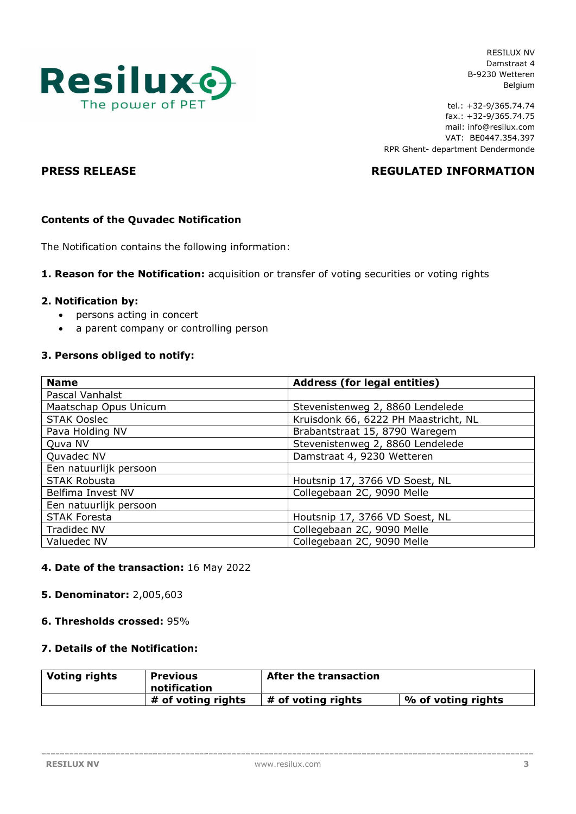

tel.: +32-9/365.74.74 fax.: +32-9/365.74.75 mail: info@resilux.com VAT: BE0447.354.397 RPR Ghent- department Dendermonde

# PRESS RELEASE REGULATED INFORMATION

# Contents of the Quvadec Notification

The Notification contains the following information:

### 1. Reason for the Notification: acquisition or transfer of voting securities or voting rights

#### 2. Notification by:

- persons acting in concert
- a parent company or controlling person

#### 3. Persons obliged to notify:

| <b>Name</b>            | <b>Address (for legal entities)</b>  |  |  |
|------------------------|--------------------------------------|--|--|
| Pascal Vanhalst        |                                      |  |  |
| Maatschap Opus Unicum  | Stevenistenweg 2, 8860 Lendelede     |  |  |
| <b>STAK Ooslec</b>     | Kruisdonk 66, 6222 PH Maastricht, NL |  |  |
| Pava Holding NV        | Brabantstraat 15, 8790 Waregem       |  |  |
| Quva NV                | Stevenistenweg 2, 8860 Lendelede     |  |  |
| Quvadec NV             | Damstraat 4, 9230 Wetteren           |  |  |
| Een natuurlijk persoon |                                      |  |  |
| <b>STAK Robusta</b>    | Houtsnip 17, 3766 VD Soest, NL       |  |  |
| Belfima Invest NV      | Collegebaan 2C, 9090 Melle           |  |  |
| Een natuurlijk persoon |                                      |  |  |
| <b>STAK Foresta</b>    | Houtsnip 17, 3766 VD Soest, NL       |  |  |
| <b>Tradidec NV</b>     | Collegebaan 2C, 9090 Melle           |  |  |
| Valuedec NV            | Collegebaan 2C, 9090 Melle           |  |  |

#### 4. Date of the transaction: 16 May 2022

#### 5. Denominator: 2,005,603

#### 6. Thresholds crossed: 95%

#### 7. Details of the Notification:

| <b>Voting rights</b> | <b>Previous</b><br>notification | <b>After the transaction</b> |                    |
|----------------------|---------------------------------|------------------------------|--------------------|
|                      | # of voting rights              | # of voting rights           | % of voting rights |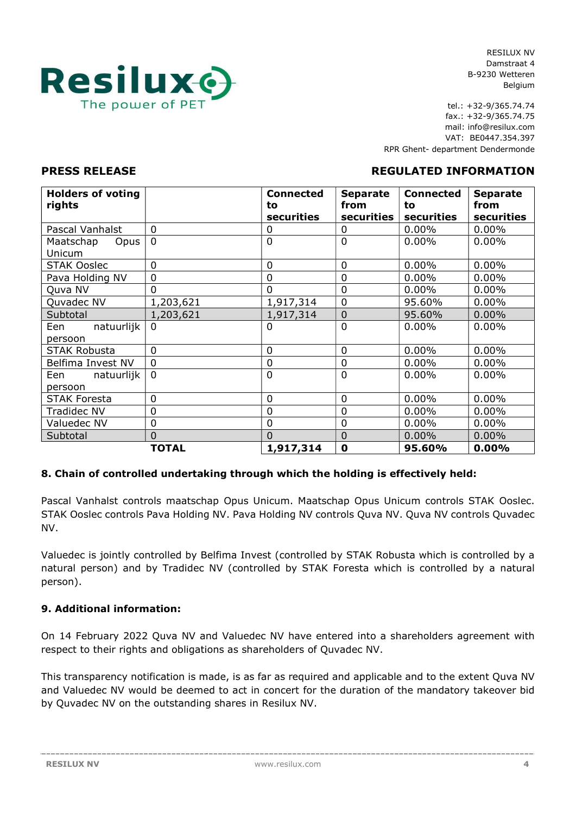

tel.: +32-9/365.74.74 fax.: +32-9/365.74.75 mail: info@resilux.com VAT: BE0447.354.397 RPR Ghent- department Dendermonde

## PRESS RELEASE REGULATED INFORMATION

#### Holders of voting rights Connected to securities Separate from securities Connected to securities Separate from securities Pascal Vanhalst 0 0 0 0.00% 0.00% Maatschap Opus Unicum 0 0 0.00% 0.00% 0.00% STAK Ooslec 0 0 0 0 0.00% 0.00% Pava Holding NV 0 0 0 0.00% 0.00% Quva NV | 0 | 0 | 0 | 0.00% | 0.00% Quvadec NV 1,203,621 1,917,314 0 95.60% 0.00% Subtotal  $\vert 1,203,621 \vert 1,917,314 \vert 0 \vert 95.60\% \vert 0.00\%$ Een natuurlijk persoon 0 0 0.00% 0.00% 0.00% STAK Robusta  $\begin{array}{ccc} \vert & 0 \end{array}$  0 0.00% 0.00% 0.00% Belfima Invest NV 0 0 0 0 0.00% 0.00% 0.00% Een natuurlijk persoon 0 0 0.00% 0.00% 0.00% STAK Foresta 0 0 0 0 0.00% 0.00% Tradidec NV  $\begin{array}{|c|c|c|c|c|c|c|c|c|} \hline 0 & 0 & 0 & 0.00\% & 0.00\% \hline \end{array}$ Valuedec NV 0 0 0 0.00% 0.00% Subtotal 0 0 0 0.00% 0.00% TOTAL  $|1,917,314$  0  $|95.60\%$  0.00%

#### 8. Chain of controlled undertaking through which the holding is effectively held:

Pascal Vanhalst controls maatschap Opus Unicum. Maatschap Opus Unicum controls STAK Ooslec. STAK Ooslec controls Pava Holding NV. Pava Holding NV controls Quva NV. Quva NV controls Quvadec NV.

Valuedec is jointly controlled by Belfima Invest (controlled by STAK Robusta which is controlled by a natural person) and by Tradidec NV (controlled by STAK Foresta which is controlled by a natural person).

## 9. Additional information:

On 14 February 2022 Quva NV and Valuedec NV have entered into a shareholders agreement with respect to their rights and obligations as shareholders of Quvadec NV.

This transparency notification is made, is as far as required and applicable and to the extent Quva NV and Valuedec NV would be deemed to act in concert for the duration of the mandatory takeover bid by Quvadec NV on the outstanding shares in Resilux NV.